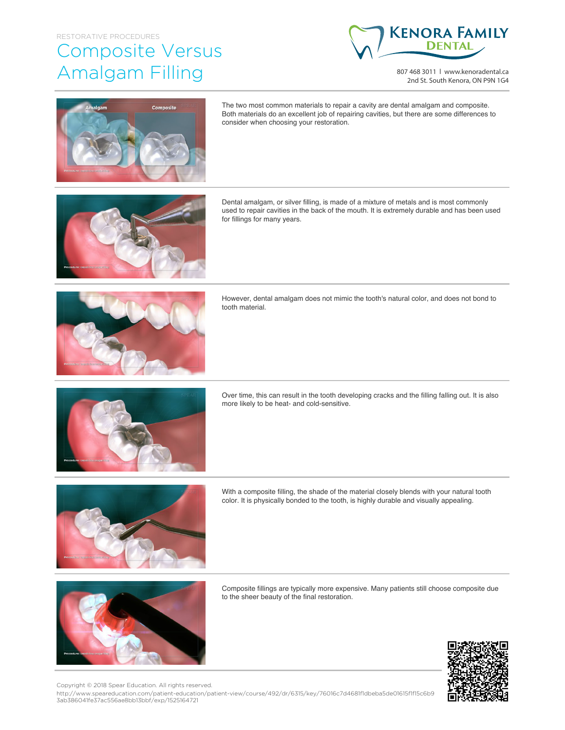## RESTORATIVE PROCEDURES

## Composite Versus Amalgam Filling



807 468 3011 | www.kenoradental.ca 2nd St. South Kenora, ON P9N 1G4



The two most common materials to repair a cavity are dental amalgam and composite. Both materials do an excellent job of repairing cavities, but there are some differences to consider when choosing your restoration.



Dental amalgam, or silver filling, is made of a mixture of metals and is most commonly used to repair cavities in the back of the mouth. It is extremely durable and has been used for fillings for many years.



However, dental amalgam does not mimic the tooth's natural color, and does not bond to tooth material.



Over time, this can result in the tooth developing cracks and the filling falling out. It is also more likely to be heat- and cold-sensitive.



With a composite filling, the shade of the material closely blends with your natural tooth color. It is physically bonded to the tooth, is highly durable and visually appealing.



Composite fillings are typically more expensive. Many patients still choose composite due to the sheer beauty of the final restoration.



http://www.speareducation.com/patient-education/patient-view/course/492/dr/6315/key/76016c7d4681f1dbeba5de01615f1f15c6b9 3ab386041fe37ac556ae8bb13bbf/exp/1525164721 Copyright © 2018 Spear Education. All rights reserved.